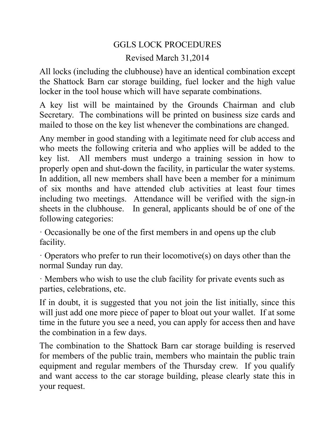## GGLS LOCK PROCEDURES

## Revised March 31,2014

All locks (including the clubhouse) have an identical combination except the Shattock Barn car storage building, fuel locker and the high value locker in the tool house which will have separate combinations.

A key list will be maintained by the Grounds Chairman and club Secretary. The combinations will be printed on business size cards and mailed to those on the key list whenever the combinations are changed.

Any member in good standing with a legitimate need for club access and who meets the following criteria and who applies will be added to the key list. All members must undergo a training session in how to properly open and shut-down the facility, in particular the water systems. In addition, all new members shall have been a member for a minimum of six months and have attended club activities at least four times including two meetings. Attendance will be verified with the sign-in sheets in the clubhouse. In general, applicants should be of one of the following categories:

· Occasionally be one of the first members in and opens up the club facility.

 $\cdot$  Operators who prefer to run their locomotive(s) on days other than the normal Sunday run day.

· Members who wish to use the club facility for private events such as parties, celebrations, etc.

If in doubt, it is suggested that you not join the list initially, since this will just add one more piece of paper to bloat out your wallet. If at some time in the future you see a need, you can apply for access then and have the combination in a few days.

The combination to the Shattock Barn car storage building is reserved for members of the public train, members who maintain the public train equipment and regular members of the Thursday crew. If you qualify and want access to the car storage building, please clearly state this in your request.